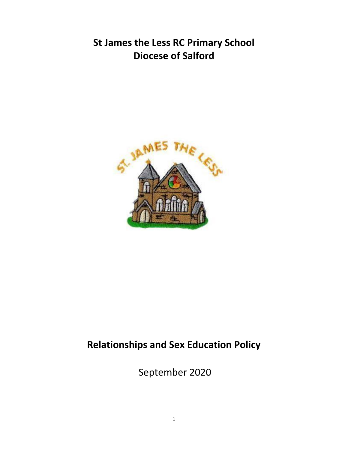# **St James the Less RC Primary School Diocese of Salford**



# **Relationships and Sex Education Policy**

September 2020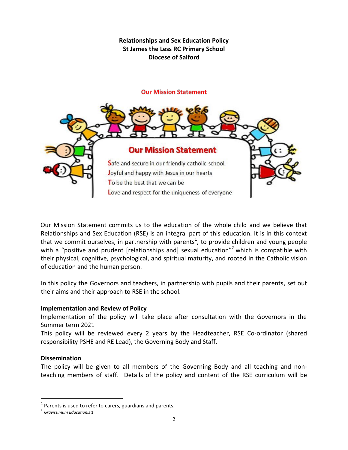**Relationships and Sex Education Policy St James the Less RC Primary School Diocese of Salford**

#### **Our Mission Statement**



Our Mission Statement commits us to the education of the whole child and we believe that Relationships and Sex Education (RSE) is an integral part of this education. It is in this context that we commit ourselves, in partnership with parents<sup>1</sup>, to provide children and young people with a "positive and prudent [relationships and] sexual education"<sup>2</sup> which is compatible with their physical, cognitive, psychological, and spiritual maturity, and rooted in the Catholic vision of education and the human person.

In this policy the Governors and teachers, in partnership with pupils and their parents, set out their aims and their approach to RSE in the school.

#### **Implementation and Review of Policy**

Implementation of the policy will take place after consultation with the Governors in the Summer term 2021

This policy will be reviewed every 2 years by the Headteacher, RSE Co-ordinator (shared responsibility PSHE and RE Lead), the Governing Body and Staff.

#### **Dissemination**

 $\overline{a}$ 

The policy will be given to all members of the Governing Body and all teaching and nonteaching members of staff. Details of the policy and content of the RSE curriculum will be

 $<sup>1</sup>$  Parents is used to refer to carers, guardians and parents.</sup>

<sup>2</sup> *Gravissimum Educationis* 1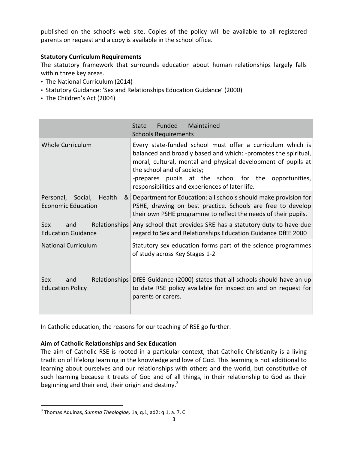published on the school's web site. Copies of the policy will be available to all registered parents on request and a copy is available in the school office.

### **Statutory Curriculum Requirements**

The statutory framework that surrounds education about human relationships largely falls within three key areas.

- The National Curriculum (2014)
- Statutory Guidance: 'Sex and Relationships Education Guidance' (2000)
- The Children's Act (2004)

|                                                                            | <b>Funded</b><br>Maintained<br>State<br><b>Schools Requirements</b>                                                                                                                                                                                                                                                                     |
|----------------------------------------------------------------------------|-----------------------------------------------------------------------------------------------------------------------------------------------------------------------------------------------------------------------------------------------------------------------------------------------------------------------------------------|
| <b>Whole Curriculum</b>                                                    | Every state-funded school must offer a curriculum which is<br>balanced and broadly based and which: -promotes the spiritual,<br>moral, cultural, mental and physical development of pupils at<br>the school and of society;<br>-prepares pupils at the school for the opportunities,<br>responsibilities and experiences of later life. |
| Health<br>Personal, Social,<br>8 <sup>1</sup><br><b>Economic Education</b> | Department for Education: all schools should make provision for<br>PSHE, drawing on best practice. Schools are free to develop<br>their own PSHE programme to reflect the needs of their pupils.                                                                                                                                        |
| Relationships<br>Sex<br>and<br><b>Education Guidance</b>                   | Any school that provides SRE has a statutory duty to have due<br>regard to Sex and Relationships Education Guidance DfEE 2000                                                                                                                                                                                                           |
| <b>National Curriculum</b>                                                 | Statutory sex education forms part of the science programmes<br>of study across Key Stages 1-2                                                                                                                                                                                                                                          |
| Sex<br>and<br><b>Education Policy</b>                                      | Relationships DfEE Guidance (2000) states that all schools should have an up<br>to date RSE policy available for inspection and on request for<br>parents or carers.                                                                                                                                                                    |

In Catholic education, the reasons for our teaching of RSE go further.

## **Aim of Catholic Relationships and Sex Education**

The aim of Catholic RSE is rooted in a particular context, that Catholic Christianity is a living tradition of lifelong learning in the knowledge and love of God. This learning is not additional to learning about ourselves and our relationships with others and the world, but constitutive of such learning because it treats of God and of all things, in their relationship to God as their beginning and their end, their origin and destiny. $3$ 

 $\overline{a}$ 

<sup>3</sup> Thomas Aquinas, *Summa Theologiae,* 1a, q.1, ad2; q.1, a. 7. C.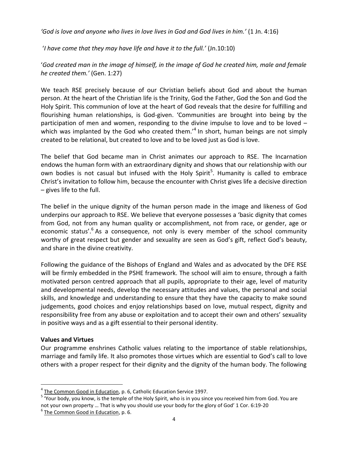*'God is love and anyone who lives in love lives in God and God lives in him.'* (1 Jn. 4:16)

'*I have come that they may have life and have it to the full.'* (Jn.10:10)

'*God created man in the image of himself, in the image of God he created him, male and female he created them.'* (Gen. 1:27)

We teach RSE precisely because of our Christian beliefs about God and about the human person. At the heart of the Christian life is the Trinity, God the Father, God the Son and God the Holy Spirit. This communion of love at the heart of God reveals that the desire for fulfilling and flourishing human relationships, is God-given. 'Communities are brought into being by the participation of men and women, responding to the divine impulse to love and to be loved – which was implanted by the God who created them.<sup>,4</sup> In short, human beings are not simply created to be relational, but created to love and to be loved just as God is love.

The belief that God became man in Christ animates our approach to RSE. The Incarnation endows the human form with an extraordinary dignity and shows that our relationship with our own bodies is not casual but infused with the Holy Spirit<sup>5</sup>. Humanity is called to embrace Christ's invitation to follow him, because the encounter with Christ gives life a decisive direction – gives life to the full.

The belief in the unique dignity of the human person made in the image and likeness of God underpins our approach to RSE. We believe that everyone possesses a 'basic dignity that comes from God, not from any human quality or accomplishment, not from race, or gender, age or economic status'.<sup>6</sup> As a consequence, not only is every member of the school community worthy of great respect but gender and sexuality are seen as God's gift, reflect God's beauty, and share in the divine creativity.

Following the guidance of the Bishops of England and Wales and as advocated by the DFE RSE will be firmly embedded in the PSHE framework. The school will aim to ensure, through a faith motivated person centred approach that all pupils, appropriate to their age, level of maturity and developmental needs, develop the necessary attitudes and values, the personal and social skills, and knowledge and understanding to ensure that they have the capacity to make sound judgements, good choices and enjoy relationships based on love, mutual respect, dignity and responsibility free from any abuse or exploitation and to accept their own and others' sexuality in positive ways and as a gift essential to their personal identity.

## **Values and Virtues**

 $\overline{a}$ 

Our programme enshrines Catholic values relating to the importance of stable relationships, marriage and family life. It also promotes those virtues which are essential to God's call to love others with a proper respect for their dignity and the dignity of the human body. The following

<sup>&</sup>lt;sup>4</sup> The Common Good in Education, p. 6, Catholic Education Service 1997.

<sup>&</sup>lt;sup>5</sup> 'Your body, you know, is the temple of the Holy Spirit, who is in you since you received him from God. You are not your own property … That is why you should use your body for the glory of God' 1 Cor. 6:19-20

<sup>&</sup>lt;sup>6</sup> The Common Good in Education, p. 6.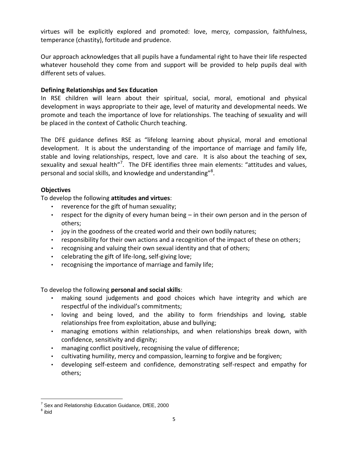virtues will be explicitly explored and promoted: love, mercy, compassion, faithfulness, temperance (chastity), fortitude and prudence.

Our approach acknowledges that all pupils have a fundamental right to have their life respected whatever household they come from and support will be provided to help pupils deal with different sets of values.

## **Defining Relationships and Sex Education**

In RSE children will learn about their spiritual, social, moral, emotional and physical development in ways appropriate to their age, level of maturity and developmental needs. We promote and teach the importance of love for relationships. The teaching of sexuality and will be placed in the context of Catholic Church teaching.

The DFE guidance defines RSE as "lifelong learning about physical, moral and emotional development. It is about the understanding of the importance of marriage and family life, stable and loving relationships, respect, love and care. It is also about the teaching of sex, sexuality and sexual health"<sup>7</sup>. The DFE identifies three main elements: "attitudes and values, personal and social skills, and knowledge and understanding"<sup>8</sup>.

# **Objectives**

To develop the following **attitudes and virtues**:

- reverence for the gift of human sexuality;
- respect for the dignity of every human being in their own person and in the person of others;
- joy in the goodness of the created world and their own bodily natures;
- responsibility for their own actions and a recognition of the impact of these on others;
- recognising and valuing their own sexual identity and that of others;
- celebrating the gift of life-long, self-giving love;
- recognising the importance of marriage and family life;

To develop the following **personal and social skills**:

- making sound judgements and good choices which have integrity and which are respectful of the individual's commitments;
- loving and being loved, and the ability to form friendships and loving, stable relationships free from exploitation, abuse and bullying;
- managing emotions within relationships, and when relationships break down, with confidence, sensitivity and dignity;
- managing conflict positively, recognising the value of difference;
- cultivating humility, mercy and compassion, learning to forgive and be forgiven;
- developing self-esteem and confidence, demonstrating self-respect and empathy for others;

 $\overline{a}$ 

<sup>&</sup>lt;sup>7</sup> Sex and Relationship Education Guidance, DfEE, 2000

 $^8$  ibid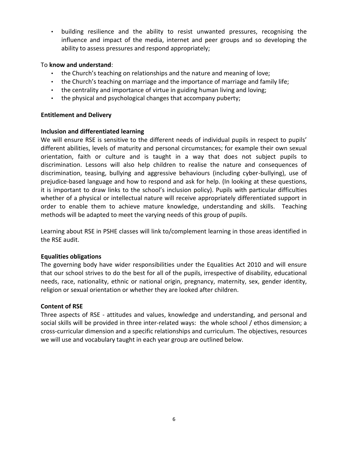• building resilience and the ability to resist unwanted pressures, recognising the influence and impact of the media, internet and peer groups and so developing the ability to assess pressures and respond appropriately;

### To **know and understand**:

- the Church's teaching on relationships and the nature and meaning of love;
- the Church's teaching on marriage and the importance of marriage and family life;
- the centrality and importance of virtue in guiding human living and loving;
- the physical and psychological changes that accompany puberty;

#### **Entitlement and Delivery**

#### **Inclusion and differentiated learning**

We will ensure RSE is sensitive to the different needs of individual pupils in respect to pupils' different abilities, levels of maturity and personal circumstances; for example their own sexual orientation, faith or culture and is taught in a way that does not subject pupils to discrimination. Lessons will also help children to realise the nature and consequences of discrimination, teasing, bullying and aggressive behaviours (including cyber-bullying), use of prejudice-based language and how to respond and ask for help. (In looking at these questions, it is important to draw links to the school's inclusion policy). Pupils with particular difficulties whether of a physical or intellectual nature will receive appropriately differentiated support in order to enable them to achieve mature knowledge, understanding and skills. Teaching methods will be adapted to meet the varying needs of this group of pupils.

Learning about RSE in PSHE classes will link to/complement learning in those areas identified in the RSE audit.

## **Equalities obligations**

The governing body have wider responsibilities under the Equalities Act 2010 and will ensure that our school strives to do the best for all of the pupils, irrespective of disability, educational needs, race, nationality, ethnic or national origin, pregnancy, maternity, sex, gender identity, religion or sexual orientation or whether they are looked after children.

#### **Content of RSE**

Three aspects of RSE - attitudes and values, knowledge and understanding, and personal and social skills will be provided in three inter-related ways: the whole school / ethos dimension; a cross-curricular dimension and a specific relationships and curriculum. The objectives, resources we will use and vocabulary taught in each year group are outlined below.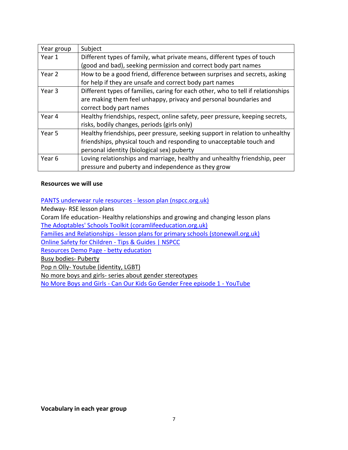| Year group | Subject                                                                          |
|------------|----------------------------------------------------------------------------------|
| Year 1     | Different types of family, what private means, different types of touch          |
|            | (good and bad), seeking permission and correct body part names                   |
| Year 2     | How to be a good friend, difference between surprises and secrets, asking        |
|            | for help if they are unsafe and correct body part names                          |
| Year 3     | Different types of families, caring for each other, who to tell if relationships |
|            | are making them feel unhappy, privacy and personal boundaries and                |
|            | correct body part names                                                          |
| Year 4     | Healthy friendships, respect, online safety, peer pressure, keeping secrets,     |
|            | risks, bodily changes, periods (girls only)                                      |
| Year 5     | Healthy friendships, peer pressure, seeking support in relation to unhealthy     |
|            | friendships, physical touch and responding to unacceptable touch and             |
|            | personal identity (biological sex) puberty                                       |
| Year 6     | Loving relationships and marriage, healthy and unhealthy friendship, peer        |
|            | pressure and puberty and independence as they grow                               |

#### **Resources we will use**

#### [PANTS underwear rule resources -](https://learning.nspcc.org.uk/media/1387/underwear-rule-resources-lesson-plan.pdf) lesson plan (nspcc.org.uk)

Medway- RSE lesson plans

Coram life education- Healthy relationships and growing and changing lesson plans [The Adoptables' Schools Toolkit \(coramlifeeducation.org.uk\)](https://www.coramlifeeducation.org.uk/adoptables/the-adoptables-toolkit--understanding-the-challenges-adopted-children-face-at-school-resources-for-911-yearolds)

Families and Relationships - [lesson plans for primary schools \(stonewall.org.uk\)](https://www.stonewall.org.uk/resources/families-and-relationships-lesson-plans-primary-schools)

[Online Safety for Children -](https://www.nspcc.org.uk/keeping-children-safe/online-safety/) Tips & Guides | NSPCC

[Resources Demo Page -](https://bettyeducation.com/teacher-notes/) betty education

Busy bodies- Puberty

Pop n Olly-Youtube (identity, LGBT)

No more boys and girls- series about gender stereotypes

No More Boys and Girls - [Can Our Kids Go Gender Free episode 1 -](https://www.youtube.com/watch?v=wN5R2LWhTrY) YouTube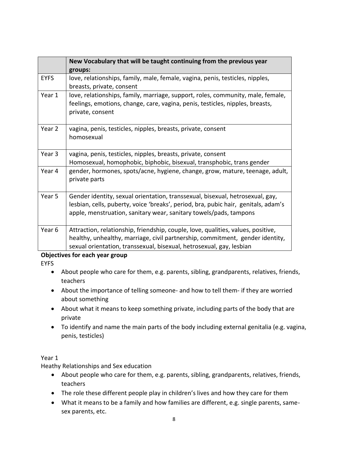|             | New Vocabulary that will be taught continuing from the previous year<br>groups:                                                                                                                                                           |
|-------------|-------------------------------------------------------------------------------------------------------------------------------------------------------------------------------------------------------------------------------------------|
| <b>EYFS</b> | love, relationships, family, male, female, vagina, penis, testicles, nipples,<br>breasts, private, consent                                                                                                                                |
| Year 1      | love, relationships, family, marriage, support, roles, community, male, female,<br>feelings, emotions, change, care, vagina, penis, testicles, nipples, breasts,<br>private, consent                                                      |
| Year 2      | vagina, penis, testicles, nipples, breasts, private, consent<br>homosexual                                                                                                                                                                |
| Year 3      | vagina, penis, testicles, nipples, breasts, private, consent<br>Homosexual, homophobic, biphobic, bisexual, transphobic, trans gender                                                                                                     |
| Year 4      | gender, hormones, spots/acne, hygiene, change, grow, mature, teenage, adult,<br>private parts                                                                                                                                             |
| Year 5      | Gender identity, sexual orientation, transsexual, bisexual, hetrosexual, gay,<br>lesbian, cells, puberty, voice 'breaks', period, bra, pubic hair, genitals, adam's<br>apple, menstruation, sanitary wear, sanitary towels/pads, tampons  |
| Year 6      | Attraction, relationship, friendship, couple, love, qualities, values, positive,<br>healthy, unhealthy, marriage, civil partnership, commitment, gender identity,<br>sexual orientation, transsexual, bisexual, hetrosexual, gay, lesbian |

## **Objectives for each year group**

EYFS

- About people who care for them, e.g. parents, sibling, grandparents, relatives, friends, teachers
- About the importance of telling someone- and how to tell them- if they are worried about something
- About what it means to keep something private, including parts of the body that are private
- To identify and name the main parts of the body including external genitalia (e.g. vagina, penis, testicles)

## Year 1

Heathy Relationships and Sex education

- About people who care for them, e.g. parents, sibling, grandparents, relatives, friends, teachers
- The role these different people play in children's lives and how they care for them
- What it means to be a family and how families are different, e.g. single parents, samesex parents, etc.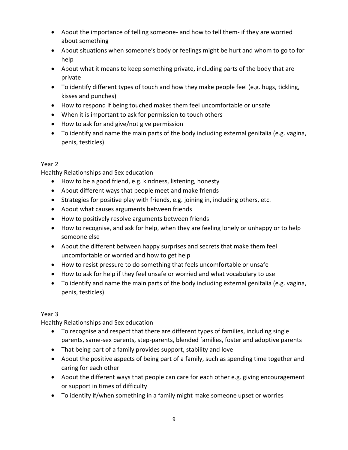- About the importance of telling someone- and how to tell them- if they are worried about something
- About situations when someone's body or feelings might be hurt and whom to go to for help
- About what it means to keep something private, including parts of the body that are private
- To identify different types of touch and how they make people feel (e.g. hugs, tickling, kisses and punches)
- How to respond if being touched makes them feel uncomfortable or unsafe
- When it is important to ask for permission to touch others
- How to ask for and give/not give permission
- To identify and name the main parts of the body including external genitalia (e.g. vagina, penis, testicles)

# Year 2

Healthy Relationships and Sex education

- How to be a good friend, e.g. kindness, listening, honesty
- About different ways that people meet and make friends
- Strategies for positive play with friends, e.g. joining in, including others, etc.
- About what causes arguments between friends
- How to positively resolve arguments between friends
- How to recognise, and ask for help, when they are feeling lonely or unhappy or to help someone else
- About the different between happy surprises and secrets that make them feel uncomfortable or worried and how to get help
- How to resist pressure to do something that feels uncomfortable or unsafe
- How to ask for help if they feel unsafe or worried and what vocabulary to use
- To identify and name the main parts of the body including external genitalia (e.g. vagina, penis, testicles)

# Year 3

Healthy Relationships and Sex education

- To recognise and respect that there are different types of families, including single parents, same-sex parents, step-parents, blended families, foster and adoptive parents
- That being part of a family provides support, stability and love
- About the positive aspects of being part of a family, such as spending time together and caring for each other
- About the different ways that people can care for each other e.g. giving encouragement or support in times of difficulty
- To identify if/when something in a family might make someone upset or worries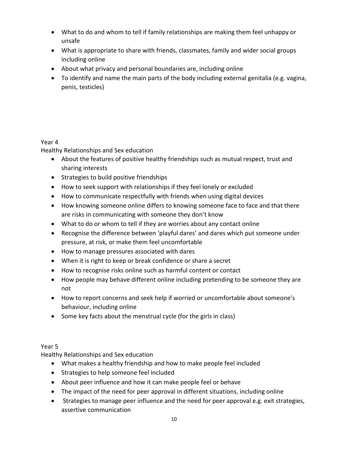- What to do and whom to tell if family relationships are making them feel unhappy or unsafe
- What is appropriate to share with friends, classmates, family and wider social groups including online
- About what privacy and personal boundaries are, including online
- To identify and name the main parts of the body including external genitalia (e.g. vagina, penis, testicles)

# Year 4

Healthy Relationships and Sex education

- About the features of positive healthy friendships such as mutual respect, trust and sharing interests
- Strategies to build positive friendships
- How to seek support with relationships if they feel lonely or excluded
- How to communicate respectfully with friends when using digital devices
- How knowing someone online differs to knowing someone face to face and that there are risks in communicating with someone they don't know
- What to do or whom to tell if they are worries about any contact online
- Recognise the difference between 'playful dares' and dares which put someone under pressure, at risk, or make them feel uncomfortable
- How to manage pressures associated with dares
- When it is right to keep or break confidence or share a secret
- How to recognise risks online such as harmful content or contact
- How people may behave different online including pretending to be someone they are not
- How to report concerns and seek help if worried or uncomfortable about someone's behaviour, including online
- Some key facts about the menstrual cycle (for the girls in class)

# Year 5

Healthy Relationships and Sex education

- What makes a healthy friendship and how to make people feel included
- Strategies to help someone feel included
- About peer influence and how it can make people feel or behave
- The impact of the need for peer approval in different situations, including online
- Strategies to manage peer influence and the need for peer approval e.g. exit strategies, assertive communication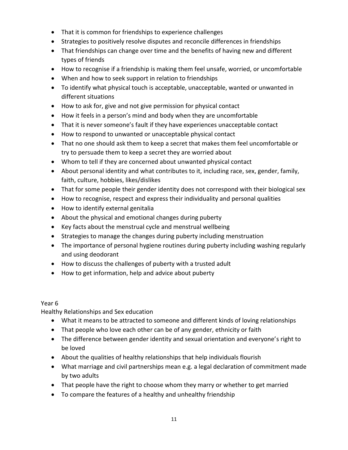- That it is common for friendships to experience challenges
- Strategies to positively resolve disputes and reconcile differences in friendships
- That friendships can change over time and the benefits of having new and different types of friends
- How to recognise if a friendship is making them feel unsafe, worried, or uncomfortable
- When and how to seek support in relation to friendships
- To identify what physical touch is acceptable, unacceptable, wanted or unwanted in different situations
- How to ask for, give and not give permission for physical contact
- How it feels in a person's mind and body when they are uncomfortable
- That it is never someone's fault if they have experiences unacceptable contact
- How to respond to unwanted or unacceptable physical contact
- That no one should ask them to keep a secret that makes them feel uncomfortable or try to persuade them to keep a secret they are worried about
- Whom to tell if they are concerned about unwanted physical contact
- About personal identity and what contributes to it, including race, sex, gender, family, faith, culture, hobbies, likes/dislikes
- That for some people their gender identity does not correspond with their biological sex
- How to recognise, respect and express their individuality and personal qualities
- How to identify external genitalia
- About the physical and emotional changes during puberty
- Key facts about the menstrual cycle and menstrual wellbeing
- Strategies to manage the changes during puberty including menstruation
- The importance of personal hygiene routines during puberty including washing regularly and using deodorant
- How to discuss the challenges of puberty with a trusted adult
- How to get information, help and advice about puberty

Year 6

Healthy Relationships and Sex education

- What it means to be attracted to someone and different kinds of loving relationships
- That people who love each other can be of any gender, ethnicity or faith
- The difference between gender identity and sexual orientation and everyone's right to be loved
- About the qualities of healthy relationships that help individuals flourish
- What marriage and civil partnerships mean e.g. a legal declaration of commitment made by two adults
- That people have the right to choose whom they marry or whether to get married
- To compare the features of a healthy and unhealthy friendship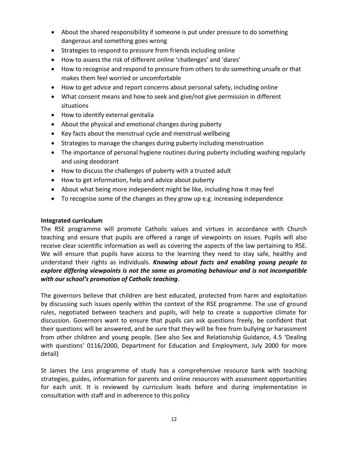- About the shared responsibility if someone is put under pressure to do something dangerous and something goes wrong
- Strategies to respond to pressure from friends including online
- How to assess the risk of different online 'challenges' and 'dares'
- How to recognise and respond to pressure from others to do something unsafe or that makes them feel worried or uncomfortable
- How to get advice and report concerns about personal safety, including online
- What consent means and how to seek and give/not give permission in different situations
- How to identify external genitalia
- About the physical and emotional changes during puberty
- Key facts about the menstrual cycle and menstrual wellbeing
- Strategies to manage the changes during puberty including menstruation
- The importance of personal hygiene routines during puberty including washing regularly and using deodorant
- How to discuss the challenges of puberty with a trusted adult
- How to get information, help and advice about puberty
- About what being more independent might be like, including how it may feel
- To recognise some of the changes as they grow up e.g. increasing independence

#### **Integrated curriculum**

The RSE programme will promote Catholic values and virtues in accordance with Church teaching and ensure that pupils are offered a range of viewpoints on issues. Pupils will also receive clear scientific information as well as covering the aspects of the law pertaining to RSE. We will ensure that pupils have access to the learning they need to stay safe, healthy and understand their rights as individuals. *Knowing about facts and enabling young people to explore differing viewpoints is not the same as promoting behaviour and is not incompatible with our school's promotion of Catholic teaching*.

The governors believe that children are best educated, protected from harm and exploitation by discussing such issues openly within the context of the RSE programme. The use of ground rules, negotiated between teachers and pupils, will help to create a supportive climate for discussion. Governors want to ensure that pupils can ask questions freely, be confident that their questions will be answered, and be sure that they will be free from bullying or harassment from other children and young people. (See also Sex and Relationship Guidance, 4.5 'Dealing with questions' 0116/2000, Department for Education and Employment, July 2000 for more detail)

St James the Less programme of study has a comprehensive resource bank with teaching strategies, guides, information for parents and online resources with assessment opportunities for each unit. It is reviewed by curriculum leads before and during implementation in consultation with staff and in adherence to this policy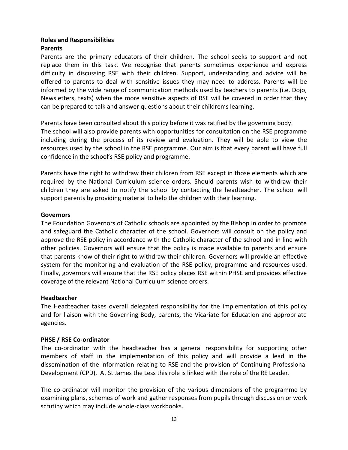#### **Roles and Responsibilities**

### **Parents**

Parents are the primary educators of their children. The school seeks to support and not replace them in this task. We recognise that parents sometimes experience and express difficulty in discussing RSE with their children. Support, understanding and advice will be offered to parents to deal with sensitive issues they may need to address. Parents will be informed by the wide range of communication methods used by teachers to parents (i.e. Dojo, Newsletters, texts) when the more sensitive aspects of RSE will be covered in order that they can be prepared to talk and answer questions about their children's learning.

Parents have been consulted about this policy before it was ratified by the governing body.

The school will also provide parents with opportunities for consultation on the RSE programme including during the process of its review and evaluation. They will be able to view the resources used by the school in the RSE programme. Our aim is that every parent will have full confidence in the school's RSE policy and programme.

Parents have the right to withdraw their children from RSE except in those elements which are required by the National Curriculum science orders. Should parents wish to withdraw their children they are asked to notify the school by contacting the headteacher. The school will support parents by providing material to help the children with their learning.

#### **Governors**

The Foundation Governors of Catholic schools are appointed by the Bishop in order to promote and safeguard the Catholic character of the school. Governors will consult on the policy and approve the RSE policy in accordance with the Catholic character of the school and in line with other policies. Governors will ensure that the policy is made available to parents and ensure that parents know of their right to withdraw their children. Governors will provide an effective system for the monitoring and evaluation of the RSE policy, programme and resources used. Finally, governors will ensure that the RSE policy places RSE within PHSE and provides effective coverage of the relevant National Curriculum science orders.

#### **Headteacher**

The Headteacher takes overall delegated responsibility for the implementation of this policy and for liaison with the Governing Body, parents, the Vicariate for Education and appropriate agencies.

## **PHSE / RSE Co-ordinator**

The co-ordinator with the headteacher has a general responsibility for supporting other members of staff in the implementation of this policy and will provide a lead in the dissemination of the information relating to RSE and the provision of Continuing Professional Development (CPD). At St James the Less this role is linked with the role of the RE Leader.

The co-ordinator will monitor the provision of the various dimensions of the programme by examining plans, schemes of work and gather responses from pupils through discussion or work scrutiny which may include whole-class workbooks.